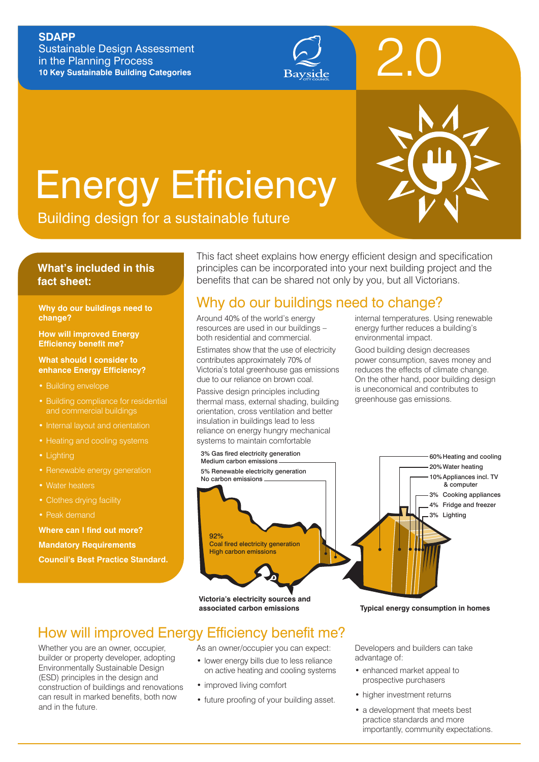#### **SDAPP**

Sustainable Design Assessment in the Planning Process **10 Key Sustainable Building Categories**



# Energy Efficiency



#### **What's included in this fact sheet:**

#### **Why do our buildings need to change?**

**How will improved Energy Efficiency benefit me?**

**What should I consider to enhance Energy Efficiency?**

- Building envelope
- and commercial buildings
- Internal layout and orientation
- 
- Lighting
- Renewable energy generation
- Water heaters
- Clothes drying facility
- Peak demand

**Where can I find out more? Mandatory Requirements Council's Best Practice Standard.** This fact sheet explains how energy efficient design and specification principles can be incorporated into your next building project and the benefits that can be shared not only by you, but all Victorians.

## Why do our buildings need to change?

Around 40% of the world's energy resources are used in our buildings – both residential and commercial.

Estimates show that the use of electricity contributes approximately 70% of Victoria's total greenhouse gas emissions due to our reliance on brown coal.

Passive design principles including thermal mass, external shading, building orientation, cross ventilation and better insulation in buildings lead to less reliance on energy hungry mechanical systems to maintain comfortable

internal temperatures. Using renewable energy further reduces a building's environmental impact.

2.0

Good building design decreases power consumption, saves money and reduces the effects of climate change. On the other hand, poor building design is uneconomical and contributes to greenhouse gas emissions.



## How will improved Energy Efficiency benefit me?

Whether you are an owner, occupier, builder or property developer, adopting Environmentally Sustainable Design (ESD) principles in the design and construction of buildings and renovations can result in marked benefits, both now and in the future.

As an owner/occupier you can expect:

- lower energy bills due to less reliance on active heating and cooling systems
- improved living comfort
- future proofing of your building asset.

Developers and builders can take advantage of:

- enhanced market appeal to prospective purchasers
- higher investment returns
- a development that meets best practice standards and more importantly, community expectations.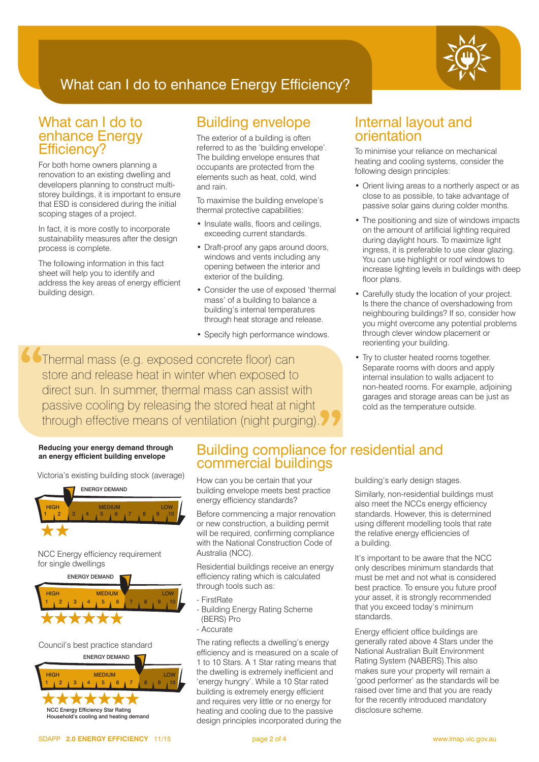

## What can I do to enhance Energy Efficiency?

## What can I do to enhance Energy Efficiency?

For both home owners planning a renovation to an existing dwelling and developers planning to construct multistorey buildings, it is important to ensure that ESD is considered during the initial scoping stages of a project.

In fact, it is more costly to incorporate sustainability measures after the design process is complete.

The following information in this fact sheet will help you to identify and address the key areas of energy efficient building design.

## Building envelope

The exterior of a building is often referred to as the 'building envelope'. The building envelope ensures that occupants are protected from the elements such as heat, cold, wind and rain.

To maximise the building envelope's thermal protective capabilities:

- Insulate walls, floors and ceilings, exceeding current standards.
- Draft-proof any gaps around doors, windows and vents including any opening between the interior and exterior of the building.
- Consider the use of exposed 'thermal mass' of a building to balance a building's internal temperatures through heat storage and release.
- Specify high performance windows.

Thermal mass (e.g. exposed concrete floor) can store and release heat in winter when exposed to direct sun. In summer, thermal mass can assist with passive cooling by releasing the stored heat at night through effective means of ventilation (night purging).

## Internal layout and orientation

To minimise your reliance on mechanical heating and cooling systems, consider the following design principles:

- Orient living areas to a northerly aspect or as close to as possible, to take advantage of passive solar gains during colder months.
- The positioning and size of windows impacts on the amount of artificial lighting required during daylight hours. To maximize light ingress, it is preferable to use clear glazing. You can use highlight or roof windows to increase lighting levels in buildings with deep floor plans.
- Carefully study the location of your project. Is there the chance of overshadowing from neighbouring buildings? If so, consider how you might overcome any potential problems through clever window placement or reorienting your building.
- Try to cluster heated rooms together. Separate rooms with doors and apply internal insulation to walls adjacent to non-heated rooms. For example, adjoining garages and storage areas can be just as cold as the temperature outside.

#### **Reducing your energy demand through an energy efficient building envelope**

Victoria's existing building stock (average)



NCC Energy efficiency requirement for single dwellings



#### Council's best practice standard



## Building compliance for residential and commercial buildings

How can you be certain that your building envelope meets best practice energy efficiency standards?

Before commencing a major renovation or new construction, a building permit will be required, confirming compliance with the National Construction Code of Australia (NCC).

Residential buildings receive an energy efficiency rating which is calculated through tools such as:

- FirstRate
- Building Energy Rating Scheme
- (BERS) Pro
- Accurate

The rating reflects a dwelling's energy efficiency and is measured on a scale of 1 to 10 Stars. A 1 Star rating means that the dwelling is extremely inefficient and 'energy hungry'. While a 10 Star rated building is extremely energy efficient and requires very little or no energy for heating and cooling due to the passive design principles incorporated during the building's early design stages.

Similarly, non-residential buildings must also meet the NCCs energy efficiency standards. However, this is determined using different modelling tools that rate the relative energy efficiencies of a building.

It's important to be aware that the NCC only describes minimum standards that must be met and not what is considered best practice. To ensure you future proof your asset, it is strongly recommended that you exceed today's minimum standards.

Energy efficient office buildings are generally rated above 4 Stars under the National Australian Built Environment Rating System (NABERS).This also makes sure your property will remain a 'good performer' as the standards will be raised over time and that you are ready for the recently introduced mandatory disclosure scheme.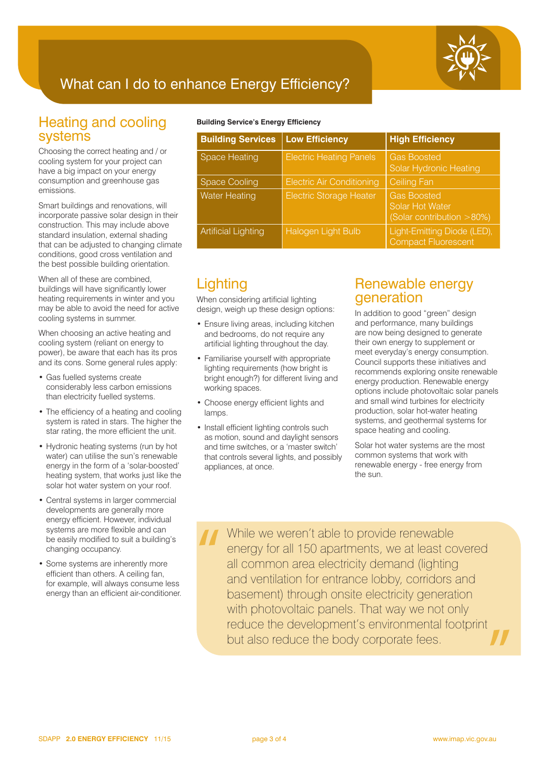

## What can I do to enhance Energy Efficiency?

## Heating and cooling systems

Choosing the correct heating and / or cooling system for your project can have a big impact on your energy consumption and greenhouse gas emissions.

Smart buildings and renovations, will incorporate passive solar design in their construction. This may include above standard insulation, external shading that can be adjusted to changing climate conditions, good cross ventilation and the best possible building orientation.

When all of these are combined, buildings will have significantly lower heating requirements in winter and you may be able to avoid the need for active cooling systems in summer.

When choosing an active heating and cooling system (reliant on energy to power), be aware that each has its pros and its cons. Some general rules apply:

- Gas fuelled systems create considerably less carbon emissions than electricity fuelled systems.
- The efficiency of a heating and cooling system is rated in stars. The higher the star rating, the more efficient the unit.
- Hydronic heating systems (run by hot water) can utilise the sun's renewable energy in the form of a 'solar-boosted' heating system, that works just like the solar hot water system on your roof.
- Central systems in larger commercial developments are generally more energy efficient. However, individual systems are more flexible and can be easily modified to suit a building's changing occupancy.
- Some systems are inherently more efficient than others. A ceiling fan, for example, will always consume less energy than an efficient air-conditioner.

#### **Building Service's Energy Efficiency**

| <b>Building Services</b>   | <b>Low Efficiency</b>            | <b>High Efficiency</b>                                             |
|----------------------------|----------------------------------|--------------------------------------------------------------------|
| <b>Space Heating</b>       | <b>Electric Heating Panels</b>   | <b>Gas Boosted</b><br>Solar Hydronic Heating                       |
| <b>Space Cooling</b>       | <b>Electric Air Conditioning</b> | <b>Ceiling Fan</b>                                                 |
| <b>Water Heating</b>       | <b>Electric Storage Heater</b>   | <b>Gas Boosted</b><br>Solar Hot Water<br>(Solar contribution >80%) |
| <b>Artificial Lighting</b> | Halogen Light Bulb               | Light-Emitting Diode (LED),<br><b>Compact Fluorescent</b>          |

## **Lighting**

When considering artificial lighting design, weigh up these design options:

- Ensure living areas, including kitchen and bedrooms, do not require any artificial lighting throughout the day.
- Familiarise yourself with appropriate lighting requirements (how bright is bright enough?) for different living and working spaces.
- Choose energy efficient lights and lamps.
- Install efficient lighting controls such as motion, sound and daylight sensors and time switches, or a 'master switch' that controls several lights, and possibly appliances, at once.

## Renewable energy generation

In addition to good "green" design and performance, many buildings are now being designed to generate their own energy to supplement or meet everyday's energy consumption. Council supports these initiatives and recommends exploring onsite renewable energy production. Renewable energy options include photovoltaic solar panels and small wind turbines for electricity production, solar hot-water heating systems, and geothermal systems for space heating and cooling.

Solar hot water systems are the most common systems that work with renewable energy - free energy from the sun.

While we weren't able to provide renewable energy for all 150 apartments, we at least covered all common area electricity demand (lighting and ventilation for entrance lobby, corridors and basement) through onsite electricity generation with photovoltaic panels. That way we not only reduce the development's environmental footprint but also reduce the body corporate fees.